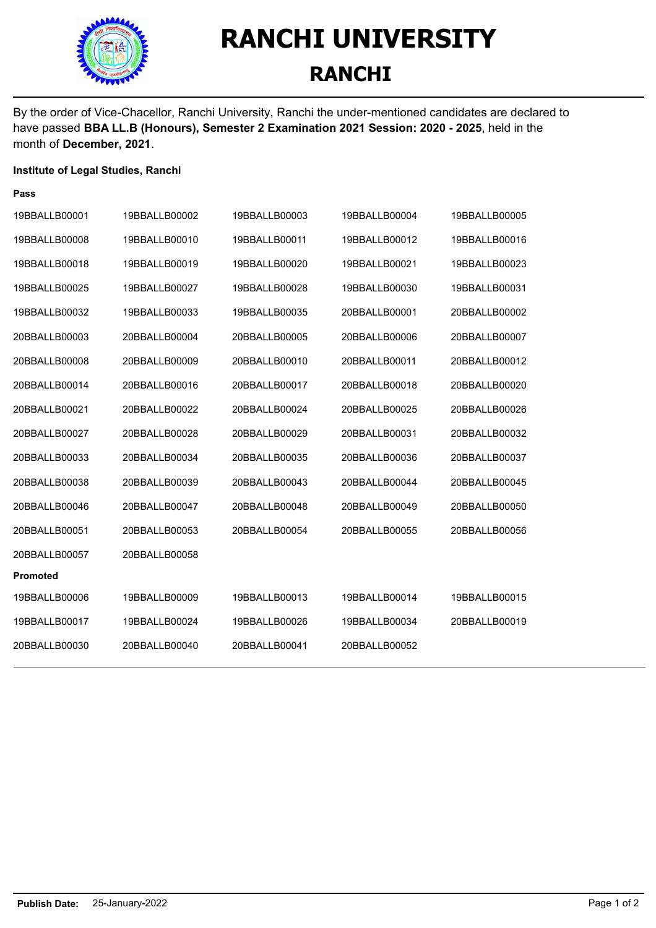

## **RANCHI UNIVERSITY RANCHI**

By the order of Vice-Chacellor, Ranchi University, Ranchi the under-mentioned candidates are declared to have passed **BBA LL.B (Honours), Semester 2 Examination 2021 Session: 2020 - 2025**, held in the month of **December, 2021**.

## **Institute of Legal Studies, Ranchi**

| 19BBALLB00001   | 19BBALLB00002 | 19BBALLB00003 | 19BBALLB00004 | 19BBALLB00005 |
|-----------------|---------------|---------------|---------------|---------------|
| 19BBALLB00008   | 19BBALLB00010 | 19BBALLB00011 | 19BBALLB00012 | 19BBALLB00016 |
| 19BBALLB00018   | 19BBALLB00019 | 19BBALLB00020 | 19BBALLB00021 | 19BBALLB00023 |
| 19BBALLB00025   | 19BBALLB00027 | 19BBALLB00028 | 19BBALLB00030 | 19BBALLB00031 |
| 19BBALLB00032   | 19BBALLB00033 | 19BBALLB00035 | 20BBALLB00001 | 20BBALLB00002 |
| 20BBALLB00003   | 20BBALLB00004 | 20BBALLB00005 | 20BBALLB00006 | 20BBALLB00007 |
| 20BBALLB00008   | 20BBALLB00009 | 20BBALLB00010 | 20BBALLB00011 | 20BBALLB00012 |
| 20BBALLB00014   | 20BBALLB00016 | 20BBALLB00017 | 20BBALLB00018 | 20BBALLB00020 |
| 20BBALLB00021   | 20BBALLB00022 | 20BBALLB00024 | 20BBALLB00025 | 20BBALLB00026 |
| 20BBALLB00027   | 20BBALLB00028 | 20BBALLB00029 | 20BBALLB00031 | 20BBALLB00032 |
| 20BBALLB00033   | 20BBALLB00034 | 20BBALLB00035 | 20BBALLB00036 | 20BBALLB00037 |
| 20BBALLB00038   | 20BBALLB00039 | 20BBALLB00043 | 20BBALLB00044 | 20BBALLB00045 |
| 20BBALLB00046   | 20BBALLB00047 | 20BBALLB00048 | 20BBALLB00049 | 20BBALLB00050 |
| 20BBALLB00051   | 20BBALLB00053 | 20BBALLB00054 | 20BBALLB00055 | 20BBALLB00056 |
| 20BBALLB00057   | 20BBALLB00058 |               |               |               |
| <b>Promoted</b> |               |               |               |               |
| 19BBALLB00006   | 19BBALLB00009 | 19BBALLB00013 | 19BBALLB00014 | 19BBALLB00015 |
| 19BBALLB00017   | 19BBALLB00024 | 19BBALLB00026 | 19BBALLB00034 | 20BBALLB00019 |
| 20BBALLB00030   | 20BBALLB00040 | 20BBALLB00041 | 20BBALLB00052 |               |